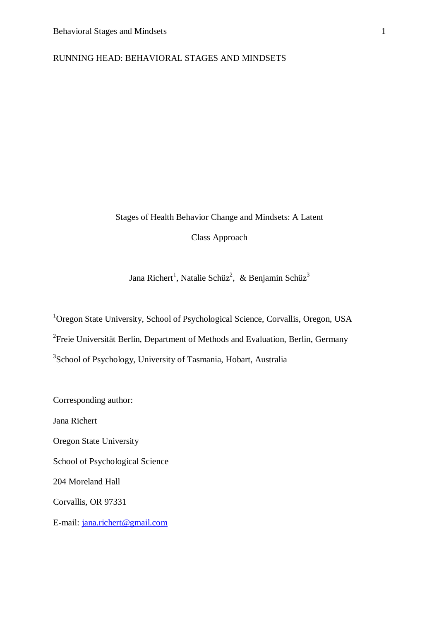# RUNNING HEAD: BEHAVIORAL STAGES AND MINDSETS

# Stages of Health Behavior Change and Mindsets: A Latent

Class Approach

Jana Richert<sup>1</sup>, Natalie Schüz<sup>2</sup>, & Benjamin Schüz<sup>3</sup>

<sup>1</sup>Oregon State University, School of Psychological Science, Corvallis, Oregon, USA <sup>2</sup> Freie Universität Berlin, Department of Methods and Evaluation, Berlin, Germany <sup>3</sup>School of Psychology, University of Tasmania, Hobart, Australia

Corresponding author:

Jana Richert

Oregon State University

School of Psychological Science

204 Moreland Hall

Corvallis, OR 97331

E-mail: [jana.richert@gmail.com](mailto:jana.richert@gmail.com)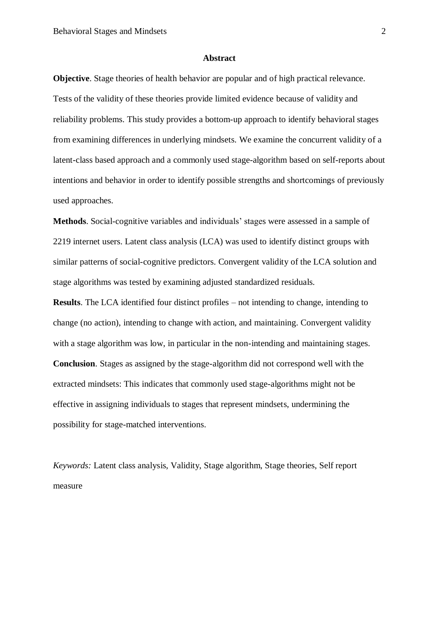#### **Abstract**

**Objective**. Stage theories of health behavior are popular and of high practical relevance. Tests of the validity of these theories provide limited evidence because of validity and reliability problems. This study provides a bottom-up approach to identify behavioral stages from examining differences in underlying mindsets. We examine the concurrent validity of a latent-class based approach and a commonly used stage-algorithm based on self-reports about intentions and behavior in order to identify possible strengths and shortcomings of previously used approaches.

**Methods**. Social-cognitive variables and individuals' stages were assessed in a sample of 2219 internet users. Latent class analysis (LCA) was used to identify distinct groups with similar patterns of social-cognitive predictors. Convergent validity of the LCA solution and stage algorithms was tested by examining adjusted standardized residuals.

**Results**. The LCA identified four distinct profiles – not intending to change, intending to change (no action), intending to change with action, and maintaining. Convergent validity with a stage algorithm was low, in particular in the non-intending and maintaining stages. **Conclusion**. Stages as assigned by the stage-algorithm did not correspond well with the extracted mindsets: This indicates that commonly used stage-algorithms might not be effective in assigning individuals to stages that represent mindsets, undermining the possibility for stage-matched interventions.

*Keywords:* Latent class analysis, Validity, Stage algorithm, Stage theories, Self report measure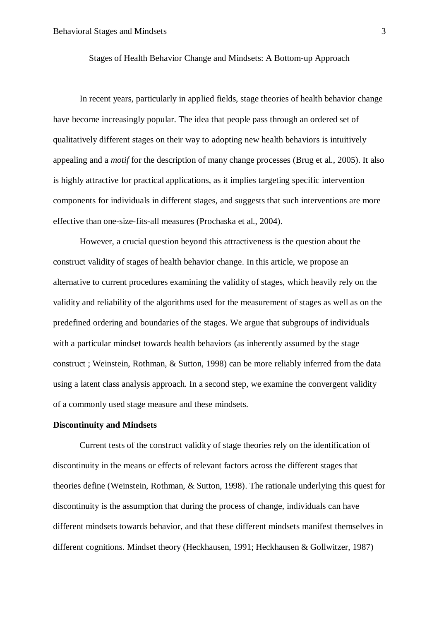Stages of Health Behavior Change and Mindsets: A Bottom-up Approach

In recent years, particularly in applied fields, stage theories of health behavior change have become increasingly popular. The idea that people pass through an ordered set of qualitatively different stages on their way to adopting new health behaviors is intuitively appealing and a *motif* for the description of many change processes (Brug et al., 2005). It also is highly attractive for practical applications, as it implies targeting specific intervention components for individuals in different stages, and suggests that such interventions are more effective than one-size-fits-all measures (Prochaska et al., 2004).

However, a crucial question beyond this attractiveness is the question about the construct validity of stages of health behavior change. In this article, we propose an alternative to current procedures examining the validity of stages, which heavily rely on the validity and reliability of the algorithms used for the measurement of stages as well as on the predefined ordering and boundaries of the stages. We argue that subgroups of individuals with a particular mindset towards health behaviors (as inherently assumed by the stage construct ; Weinstein, Rothman, & Sutton, 1998) can be more reliably inferred from the data using a latent class analysis approach. In a second step, we examine the convergent validity of a commonly used stage measure and these mindsets.

# **Discontinuity and Mindsets**

Current tests of the construct validity of stage theories rely on the identification of discontinuity in the means or effects of relevant factors across the different stages that theories define (Weinstein, Rothman, & Sutton, 1998). The rationale underlying this quest for discontinuity is the assumption that during the process of change, individuals can have different mindsets towards behavior, and that these different mindsets manifest themselves in different cognitions. Mindset theory (Heckhausen, 1991; Heckhausen & Gollwitzer, 1987)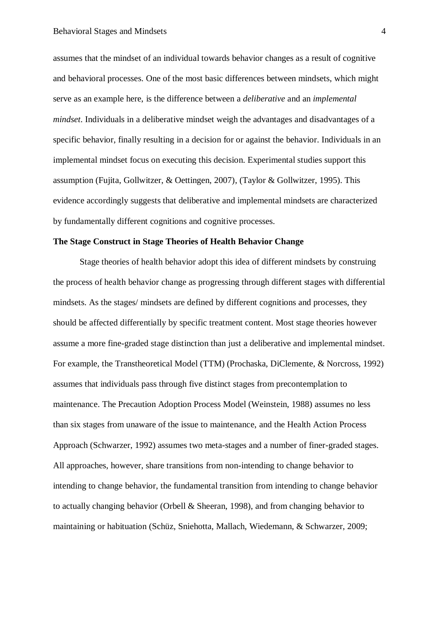assumes that the mindset of an individual towards behavior changes as a result of cognitive and behavioral processes. One of the most basic differences between mindsets, which might serve as an example here, is the difference between a *deliberative* and an *implemental mindset*. Individuals in a deliberative mindset weigh the advantages and disadvantages of a specific behavior, finally resulting in a decision for or against the behavior. Individuals in an implemental mindset focus on executing this decision. Experimental studies support this assumption (Fujita, Gollwitzer, & Oettingen, 2007), (Taylor & Gollwitzer, 1995). This evidence accordingly suggests that deliberative and implemental mindsets are characterized by fundamentally different cognitions and cognitive processes.

### **The Stage Construct in Stage Theories of Health Behavior Change**

Stage theories of health behavior adopt this idea of different mindsets by construing the process of health behavior change as progressing through different stages with differential mindsets. As the stages/ mindsets are defined by different cognitions and processes, they should be affected differentially by specific treatment content. Most stage theories however assume a more fine-graded stage distinction than just a deliberative and implemental mindset. For example, the Transtheoretical Model (TTM) (Prochaska, DiClemente, & Norcross, 1992) assumes that individuals pass through five distinct stages from precontemplation to maintenance. The Precaution Adoption Process Model (Weinstein, 1988) assumes no less than six stages from unaware of the issue to maintenance, and the Health Action Process Approach (Schwarzer, 1992) assumes two meta-stages and a number of finer-graded stages. All approaches, however, share transitions from non-intending to change behavior to intending to change behavior, the fundamental transition from intending to change behavior to actually changing behavior (Orbell & Sheeran, 1998), and from changing behavior to maintaining or habituation (Schüz, Sniehotta, Mallach, Wiedemann, & Schwarzer, 2009;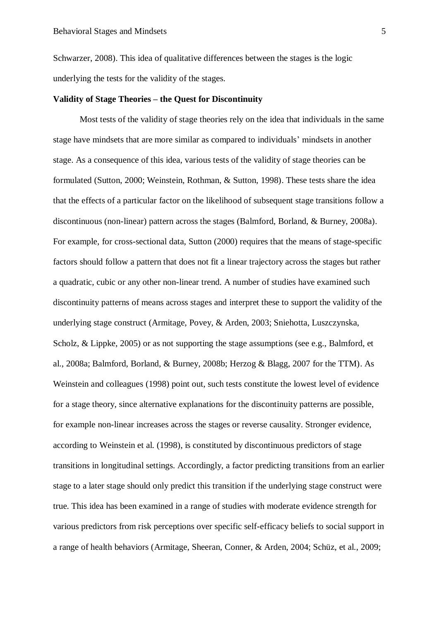Schwarzer, 2008). This idea of qualitative differences between the stages is the logic underlying the tests for the validity of the stages.

### **Validity of Stage Theories – the Quest for Discontinuity**

Most tests of the validity of stage theories rely on the idea that individuals in the same stage have mindsets that are more similar as compared to individuals' mindsets in another stage. As a consequence of this idea, various tests of the validity of stage theories can be formulated (Sutton, 2000; Weinstein, Rothman, & Sutton, 1998). These tests share the idea that the effects of a particular factor on the likelihood of subsequent stage transitions follow a discontinuous (non-linear) pattern across the stages (Balmford, Borland, & Burney, 2008a). For example, for cross-sectional data, Sutton (2000) requires that the means of stage-specific factors should follow a pattern that does not fit a linear trajectory across the stages but rather a quadratic, cubic or any other non-linear trend. A number of studies have examined such discontinuity patterns of means across stages and interpret these to support the validity of the underlying stage construct (Armitage, Povey, & Arden, 2003; Sniehotta, Luszczynska, Scholz, & Lippke, 2005) or as not supporting the stage assumptions (see e.g., Balmford, et al., 2008a; Balmford, Borland, & Burney, 2008b; Herzog & Blagg, 2007 for the TTM). As Weinstein and colleagues (1998) point out, such tests constitute the lowest level of evidence for a stage theory, since alternative explanations for the discontinuity patterns are possible, for example non-linear increases across the stages or reverse causality. Stronger evidence, according to Weinstein et al. (1998), is constituted by discontinuous predictors of stage transitions in longitudinal settings. Accordingly, a factor predicting transitions from an earlier stage to a later stage should only predict this transition if the underlying stage construct were true. This idea has been examined in a range of studies with moderate evidence strength for various predictors from risk perceptions over specific self-efficacy beliefs to social support in a range of health behaviors (Armitage, Sheeran, Conner, & Arden, 2004; Schüz, et al., 2009;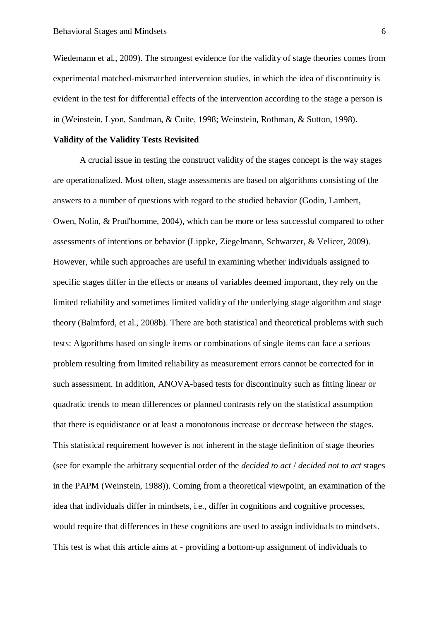Wiedemann et al., 2009). The strongest evidence for the validity of stage theories comes from experimental matched-mismatched intervention studies, in which the idea of discontinuity is evident in the test for differential effects of the intervention according to the stage a person is in (Weinstein, Lyon, Sandman, & Cuite, 1998; Weinstein, Rothman, & Sutton, 1998).

### **Validity of the Validity Tests Revisited**

A crucial issue in testing the construct validity of the stages concept is the way stages are operationalized. Most often, stage assessments are based on algorithms consisting of the answers to a number of questions with regard to the studied behavior (Godin, Lambert, Owen, Nolin, & Prud'homme, 2004), which can be more or less successful compared to other assessments of intentions or behavior (Lippke, Ziegelmann, Schwarzer, & Velicer, 2009). However, while such approaches are useful in examining whether individuals assigned to specific stages differ in the effects or means of variables deemed important, they rely on the limited reliability and sometimes limited validity of the underlying stage algorithm and stage theory (Balmford, et al., 2008b). There are both statistical and theoretical problems with such tests: Algorithms based on single items or combinations of single items can face a serious problem resulting from limited reliability as measurement errors cannot be corrected for in such assessment. In addition, ANOVA-based tests for discontinuity such as fitting linear or quadratic trends to mean differences or planned contrasts rely on the statistical assumption that there is equidistance or at least a monotonous increase or decrease between the stages. This statistical requirement however is not inherent in the stage definition of stage theories (see for example the arbitrary sequential order of the *decided to act* / *decided not to act* stages in the PAPM (Weinstein, 1988)). Coming from a theoretical viewpoint, an examination of the idea that individuals differ in mindsets, i.e., differ in cognitions and cognitive processes, would require that differences in these cognitions are used to assign individuals to mindsets. This test is what this article aims at - providing a bottom-up assignment of individuals to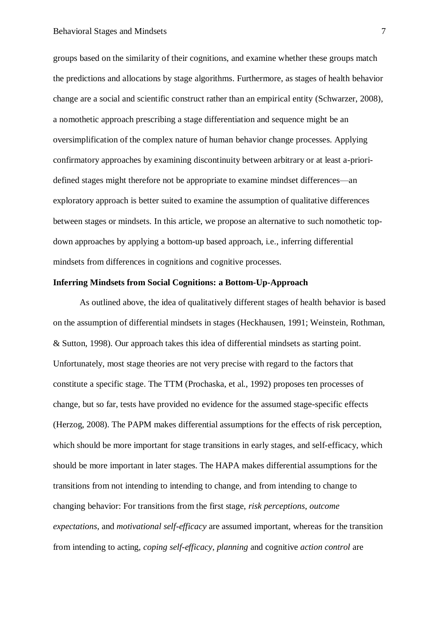groups based on the similarity of their cognitions, and examine whether these groups match the predictions and allocations by stage algorithms. Furthermore, as stages of health behavior change are a social and scientific construct rather than an empirical entity (Schwarzer, 2008), a nomothetic approach prescribing a stage differentiation and sequence might be an oversimplification of the complex nature of human behavior change processes. Applying confirmatory approaches by examining discontinuity between arbitrary or at least a-prioridefined stages might therefore not be appropriate to examine mindset differences—an exploratory approach is better suited to examine the assumption of qualitative differences between stages or mindsets. In this article, we propose an alternative to such nomothetic topdown approaches by applying a bottom-up based approach, i.e., inferring differential mindsets from differences in cognitions and cognitive processes.

# **Inferring Mindsets from Social Cognitions: a Bottom-Up-Approach**

As outlined above, the idea of qualitatively different stages of health behavior is based on the assumption of differential mindsets in stages (Heckhausen, 1991; Weinstein, Rothman, & Sutton, 1998). Our approach takes this idea of differential mindsets as starting point. Unfortunately, most stage theories are not very precise with regard to the factors that constitute a specific stage. The TTM (Prochaska, et al., 1992) proposes ten processes of change, but so far, tests have provided no evidence for the assumed stage-specific effects (Herzog, 2008). The PAPM makes differential assumptions for the effects of risk perception, which should be more important for stage transitions in early stages, and self-efficacy, which should be more important in later stages. The HAPA makes differential assumptions for the transitions from not intending to intending to change, and from intending to change to changing behavior: For transitions from the first stage, *risk perceptions*, *outcome expectations*, and *motivational self-efficacy* are assumed important, whereas for the transition from intending to acting, *coping self-efficacy*, *planning* and cognitive *action control* are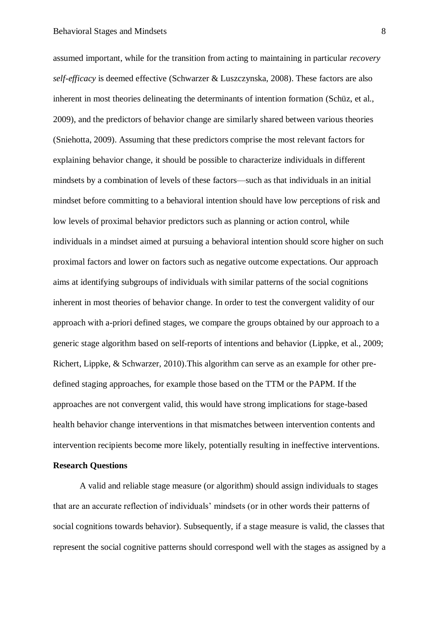assumed important, while for the transition from acting to maintaining in particular *recovery self-efficacy* is deemed effective (Schwarzer & Luszczynska, 2008). These factors are also inherent in most theories delineating the determinants of intention formation (Schüz, et al., 2009), and the predictors of behavior change are similarly shared between various theories (Sniehotta, 2009). Assuming that these predictors comprise the most relevant factors for explaining behavior change, it should be possible to characterize individuals in different mindsets by a combination of levels of these factors—such as that individuals in an initial mindset before committing to a behavioral intention should have low perceptions of risk and low levels of proximal behavior predictors such as planning or action control, while individuals in a mindset aimed at pursuing a behavioral intention should score higher on such proximal factors and lower on factors such as negative outcome expectations. Our approach aims at identifying subgroups of individuals with similar patterns of the social cognitions inherent in most theories of behavior change. In order to test the convergent validity of our approach with a-priori defined stages, we compare the groups obtained by our approach to a generic stage algorithm based on self-reports of intentions and behavior (Lippke, et al., 2009; Richert, Lippke, & Schwarzer, 2010).This algorithm can serve as an example for other predefined staging approaches, for example those based on the TTM or the PAPM. If the approaches are not convergent valid, this would have strong implications for stage-based health behavior change interventions in that mismatches between intervention contents and intervention recipients become more likely, potentially resulting in ineffective interventions.

# **Research Questions**

A valid and reliable stage measure (or algorithm) should assign individuals to stages that are an accurate reflection of individuals' mindsets (or in other words their patterns of social cognitions towards behavior). Subsequently, if a stage measure is valid, the classes that represent the social cognitive patterns should correspond well with the stages as assigned by a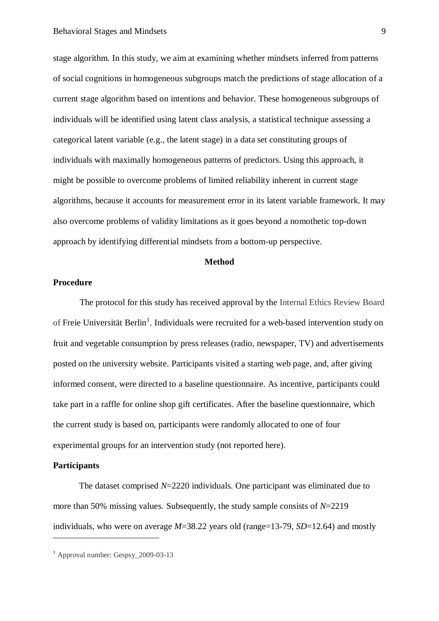stage algorithm. In this study, we aim at examining whether mindsets inferred from patterns of social cognitions in homogeneous subgroups match the predictions of stage allocation of a current stage algorithm based on intentions and behavior. These homogeneous subgroups of individuals will be identified using latent class analysis, a statistical technique assessing a categorical latent variable (e.g., the latent stage) in a data set constituting groups of individuals with maximally homogeneous patterns of predictors. Using this approach, it might be possible to overcome problems of limited reliability inherent in current stage algorithms, because it accounts for measurement error in its latent variable framework. It may also overcome problems of validity limitations as it goes beyond a nomothetic top-down approach by identifying differential mindsets from a bottom-up perspective.

# **Method**

# **Procedure**

The protocol for this study has received approval by the Internal Ethics Review Board of Freie Universität Berlin<sup>1</sup>. Individuals were recruited for a web-based intervention study on fruit and vegetable consumption by press releases (radio, newspaper, TV) and advertisements posted on the university website. Participants visited a starting web page, and, after giving informed consent, were directed to a baseline questionnaire. As incentive, participants could take part in a raffle for online shop gift certificates. After the baseline questionnaire, which the current study is based on, participants were randomly allocated to one of four experimental groups for an intervention study (not reported here).

# **Participants**

1

The dataset comprised *N*=2220 individuals. One participant was eliminated due to more than 50% missing values. Subsequently, the study sample consists of *N*=2219 individuals, who were on average *M*=38.22 years old (range=13-79, *SD*=12.64) and mostly

 $<sup>1</sup>$  Approval number: Gespsy 2009-03-13</sup>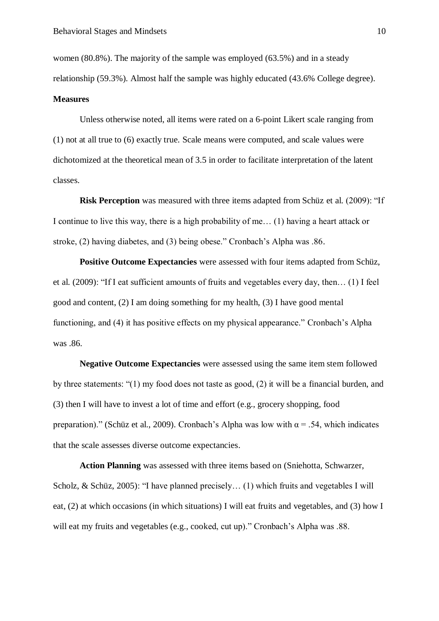women (80.8%). The majority of the sample was employed (63.5%) and in a steady relationship (59.3%). Almost half the sample was highly educated (43.6% College degree).

#### **Measures**

Unless otherwise noted, all items were rated on a 6-point Likert scale ranging from (1) not at all true to (6) exactly true. Scale means were computed, and scale values were dichotomized at the theoretical mean of 3.5 in order to facilitate interpretation of the latent classes.

**Risk Perception** was measured with three items adapted from Schüz et al. (2009): "If I continue to live this way, there is a high probability of me… (1) having a heart attack or stroke, (2) having diabetes, and (3) being obese." Cronbach's Alpha was .86.

**Positive Outcome Expectancies** were assessed with four items adapted from Schüz, et al. (2009): "If I eat sufficient amounts of fruits and vegetables every day, then… (1) I feel good and content, (2) I am doing something for my health, (3) I have good mental functioning, and (4) it has positive effects on my physical appearance." Cronbach's Alpha was .86.

**Negative Outcome Expectancies** were assessed using the same item stem followed by three statements: "(1) my food does not taste as good, (2) it will be a financial burden, and (3) then I will have to invest a lot of time and effort (e.g., grocery shopping, food preparation)." (Schüz et al., 2009). Cronbach's Alpha was low with  $\alpha$  = .54, which indicates that the scale assesses diverse outcome expectancies.

**Action Planning** was assessed with three items based on (Sniehotta, Schwarzer, Scholz, & Schüz, 2005): "I have planned precisely… (1) which fruits and vegetables I will eat, (2) at which occasions (in which situations) I will eat fruits and vegetables, and (3) how I will eat my fruits and vegetables (e.g., cooked, cut up)." Cronbach's Alpha was .88.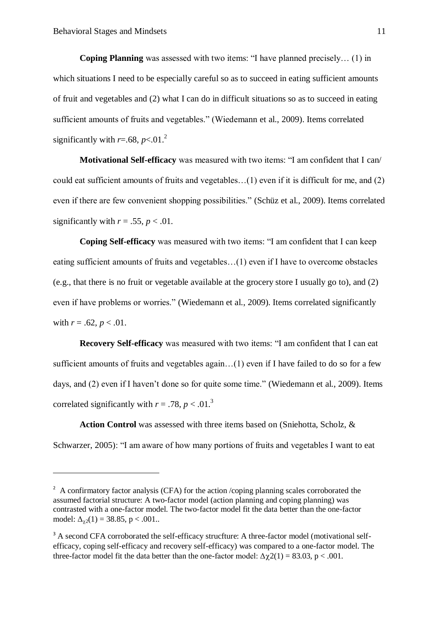1

**Coping Planning** was assessed with two items: "I have planned precisely… (1) in which situations I need to be especially careful so as to succeed in eating sufficient amounts of fruit and vegetables and (2) what I can do in difficult situations so as to succeed in eating sufficient amounts of fruits and vegetables." (Wiedemann et al., 2009). Items correlated significantly with  $r=.68$ ,  $p<.01$ .<sup>2</sup>

**Motivational Self-efficacy** was measured with two items: "I am confident that I can/ could eat sufficient amounts of fruits and vegetables…(1) even if it is difficult for me, and (2) even if there are few convenient shopping possibilities." (Schüz et al., 2009). Items correlated significantly with  $r = .55$ ,  $p < .01$ .

**Coping Self-efficacy** was measured with two items: "I am confident that I can keep eating sufficient amounts of fruits and vegetables…(1) even if I have to overcome obstacles (e.g., that there is no fruit or vegetable available at the grocery store I usually go to), and (2) even if have problems or worries." (Wiedemann et al., 2009). Items correlated significantly with  $r = .62$ ,  $p < .01$ .

**Recovery Self-efficacy** was measured with two items: "I am confident that I can eat sufficient amounts of fruits and vegetables again…(1) even if I have failed to do so for a few days, and (2) even if I haven't done so for quite some time." (Wiedemann et al., 2009). Items correlated significantly with  $r = .78$ ,  $p < .01$ .<sup>3</sup>

**Action Control** was assessed with three items based on (Sniehotta, Scholz, & Schwarzer, 2005): "I am aware of how many portions of fruits and vegetables I want to eat

 $2 \text{ A confirmatory factor analysis (CFA) for the action }$ /coping planning scales corroborated the assumed factorial structure: A two-factor model (action planning and coping planning) was contrasted with a one-factor model. The two-factor model fit the data better than the one-factor model:  $\Delta_{\gamma2}(1) = 38.85$ , p < .001..

<sup>&</sup>lt;sup>3</sup> A second CFA corroborated the self-efficacy strucfture: A three-factor model (motivational selfefficacy, coping self-efficacy and recovery self-efficacy) was compared to a one-factor model. The three-factor model fit the data better than the one-factor model:  $\Delta \chi^2(1) = 83.03$ , p < .001.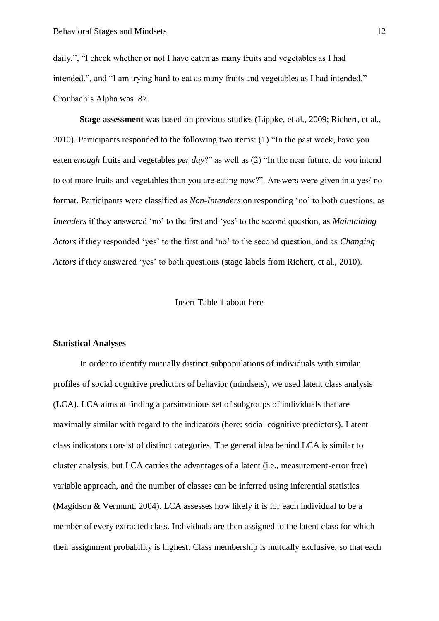daily.", "I check whether or not I have eaten as many fruits and vegetables as I had intended.", and "I am trying hard to eat as many fruits and vegetables as I had intended." Cronbach's Alpha was .87.

**Stage assessment** was based on previous studies (Lippke, et al., 2009; Richert, et al., 2010). Participants responded to the following two items: (1) "In the past week, have you eaten *enough* fruits and vegetables *per day*?" as well as (2) "In the near future, do you intend to eat more fruits and vegetables than you are eating now?". Answers were given in a yes/ no format. Participants were classified as *Non-Intenders* on responding 'no' to both questions, as *Intenders* if they answered 'no' to the first and 'yes' to the second question, as *Maintaining Actors* if they responded 'yes' to the first and 'no' to the second question, and as *Changing Actors* if they answered 'yes' to both questions (stage labels from Richert, et al., 2010).

# Insert Table 1 about here

#### **Statistical Analyses**

In order to identify mutually distinct subpopulations of individuals with similar profiles of social cognitive predictors of behavior (mindsets), we used latent class analysis (LCA). LCA aims at finding a parsimonious set of subgroups of individuals that are maximally similar with regard to the indicators (here: social cognitive predictors). Latent class indicators consist of distinct categories. The general idea behind LCA is similar to cluster analysis, but LCA carries the advantages of a latent (i.e., measurement-error free) variable approach, and the number of classes can be inferred using inferential statistics (Magidson & Vermunt, 2004). LCA assesses how likely it is for each individual to be a member of every extracted class. Individuals are then assigned to the latent class for which their assignment probability is highest. Class membership is mutually exclusive, so that each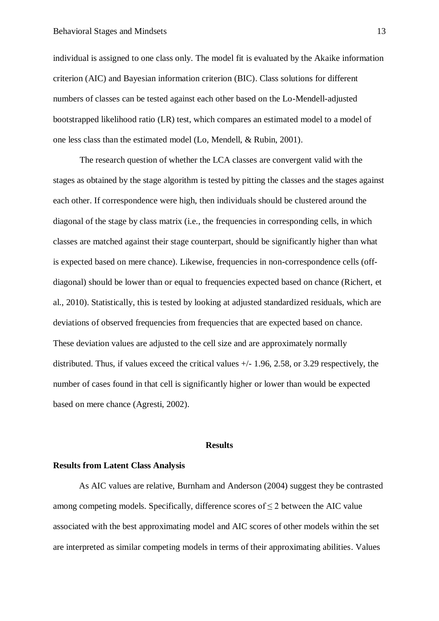individual is assigned to one class only. The model fit is evaluated by the Akaike information criterion (AIC) and Bayesian information criterion (BIC). Class solutions for different numbers of classes can be tested against each other based on the Lo-Mendell-adjusted bootstrapped likelihood ratio (LR) test, which compares an estimated model to a model of one less class than the estimated model (Lo, Mendell, & Rubin, 2001).

The research question of whether the LCA classes are convergent valid with the stages as obtained by the stage algorithm is tested by pitting the classes and the stages against each other. If correspondence were high, then individuals should be clustered around the diagonal of the stage by class matrix (i.e., the frequencies in corresponding cells, in which classes are matched against their stage counterpart, should be significantly higher than what is expected based on mere chance). Likewise, frequencies in non-correspondence cells (offdiagonal) should be lower than or equal to frequencies expected based on chance (Richert, et al., 2010). Statistically, this is tested by looking at adjusted standardized residuals, which are deviations of observed frequencies from frequencies that are expected based on chance. These deviation values are adjusted to the cell size and are approximately normally distributed. Thus, if values exceed the critical values +/- 1.96, 2.58, or 3.29 respectively, the number of cases found in that cell is significantly higher or lower than would be expected based on mere chance [\(Agresti, 2002\)](http://www.sciencedirect.com/science?_ob=ArticleURL&_udi=B6V7V-4FNW4PS-1&_user=1676895&_rdoc=1&_fmt=&_orig=search&_sort=d&view=c&_version=1&_urlVersion=0&_userid=1676895&md5=a1c790105dc7c0a85466500d86eab052#bbib1).

#### **Results**

### **Results from Latent Class Analysis**

As AIC values are relative, Burnham and Anderson (2004) suggest they be contrasted among competing models. Specifically, difference scores of  $\leq 2$  between the AIC value associated with the best approximating model and AIC scores of other models within the set are interpreted as similar competing models in terms of their approximating abilities. Values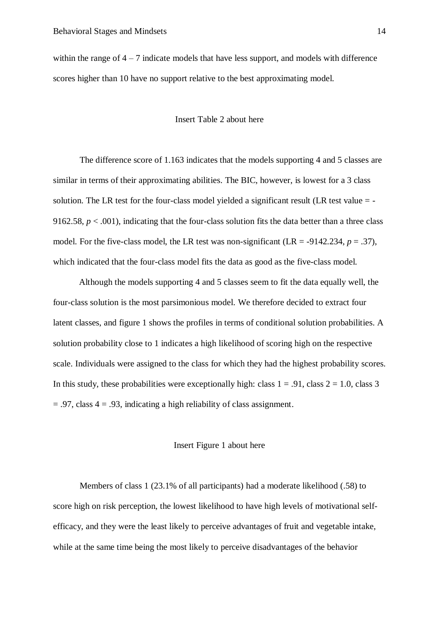within the range of  $4 - 7$  indicate models that have less support, and models with difference scores higher than 10 have no support relative to the best approximating model.

# Insert Table 2 about here

The difference score of 1.163 indicates that the models supporting 4 and 5 classes are similar in terms of their approximating abilities. The BIC, however, is lowest for a 3 class solution. The LR test for the four-class model yielded a significant result (LR test value = - 9162.58,  $p < .001$ ), indicating that the four-class solution fits the data better than a three class model. For the five-class model, the LR test was non-significant (LR =  $-9142.234$ ,  $p = .37$ ), which indicated that the four-class model fits the data as good as the five-class model.

Although the models supporting 4 and 5 classes seem to fit the data equally well, the four-class solution is the most parsimonious model. We therefore decided to extract four latent classes, and figure 1 shows the profiles in terms of conditional solution probabilities. A solution probability close to 1 indicates a high likelihood of scoring high on the respective scale. Individuals were assigned to the class for which they had the highest probability scores. In this study, these probabilities were exceptionally high: class  $1 = .91$ , class  $2 = 1.0$ , class 3  $= .97$ , class  $4 = .93$ , indicating a high reliability of class assignment.

### Insert Figure 1 about here

Members of class 1 (23.1% of all participants) had a moderate likelihood (.58) to score high on risk perception, the lowest likelihood to have high levels of motivational selfefficacy, and they were the least likely to perceive advantages of fruit and vegetable intake, while at the same time being the most likely to perceive disadvantages of the behavior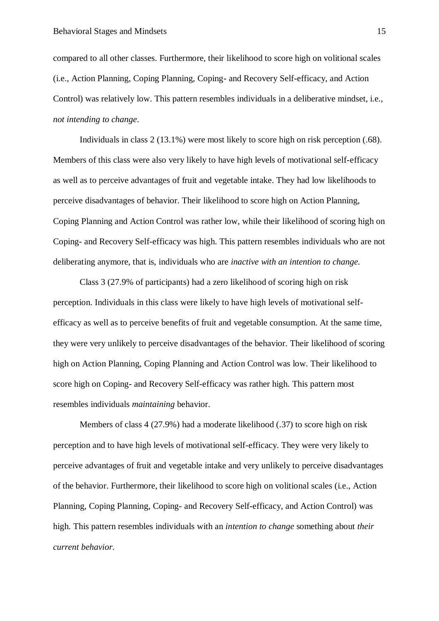compared to all other classes. Furthermore, their likelihood to score high on volitional scales (i.e., Action Planning, Coping Planning, Coping- and Recovery Self-efficacy, and Action Control) was relatively low. This pattern resembles individuals in a deliberative mindset, i.e., *not intending to change*.

Individuals in class 2 (13.1%) were most likely to score high on risk perception (.68). Members of this class were also very likely to have high levels of motivational self-efficacy as well as to perceive advantages of fruit and vegetable intake. They had low likelihoods to perceive disadvantages of behavior. Their likelihood to score high on Action Planning, Coping Planning and Action Control was rather low, while their likelihood of scoring high on Coping- and Recovery Self-efficacy was high. This pattern resembles individuals who are not deliberating anymore, that is, individuals who are *inactive with an intention to change*.

Class 3 (27.9% of participants) had a zero likelihood of scoring high on risk perception. Individuals in this class were likely to have high levels of motivational selfefficacy as well as to perceive benefits of fruit and vegetable consumption. At the same time, they were very unlikely to perceive disadvantages of the behavior. Their likelihood of scoring high on Action Planning, Coping Planning and Action Control was low. Their likelihood to score high on Coping- and Recovery Self-efficacy was rather high. This pattern most resembles individuals *maintaining* behavior.

Members of class 4 (27.9%) had a moderate likelihood (.37) to score high on risk perception and to have high levels of motivational self-efficacy. They were very likely to perceive advantages of fruit and vegetable intake and very unlikely to perceive disadvantages of the behavior. Furthermore, their likelihood to score high on volitional scales (i.e., Action Planning, Coping Planning, Coping- and Recovery Self-efficacy, and Action Control) was high. This pattern resembles individuals with an *intention to change* something about *their current behavior.*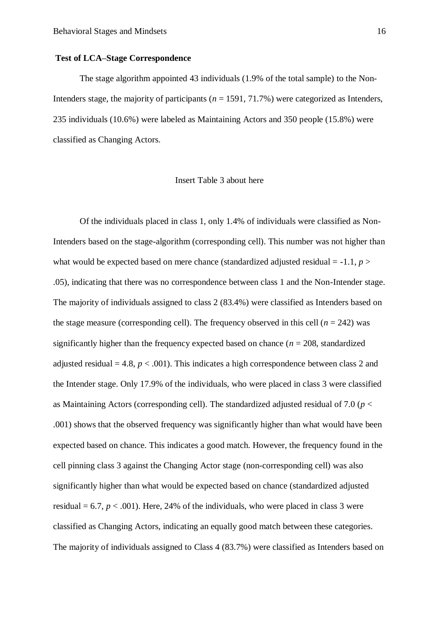### **Test of LCA–Stage Correspondence**

The stage algorithm appointed 43 individuals (1.9% of the total sample) to the Non-Intenders stage, the majority of participants (*n* = 1591, 71.7%) were categorized as Intenders, 235 individuals (10.6%) were labeled as Maintaining Actors and 350 people (15.8%) were classified as Changing Actors.

#### Insert Table 3 about here

Of the individuals placed in class 1, only 1.4% of individuals were classified as Non-Intenders based on the stage-algorithm (corresponding cell). This number was not higher than what would be expected based on mere chance (standardized adjusted residual  $= -1.1$ ,  $p >$ .05), indicating that there was no correspondence between class 1 and the Non-Intender stage. The majority of individuals assigned to class 2 (83.4%) were classified as Intenders based on the stage measure (corresponding cell). The frequency observed in this cell  $(n = 242)$  was significantly higher than the frequency expected based on chance ( $n = 208$ , standardized adjusted residual  $= 4.8$ ,  $p < .001$ ). This indicates a high correspondence between class 2 and the Intender stage. Only 17.9% of the individuals, who were placed in class 3 were classified as Maintaining Actors (corresponding cell). The standardized adjusted residual of 7.0 (*p* < .001) shows that the observed frequency was significantly higher than what would have been expected based on chance. This indicates a good match. However, the frequency found in the cell pinning class 3 against the Changing Actor stage (non-corresponding cell) was also significantly higher than what would be expected based on chance (standardized adjusted residual  $= 6.7, p < .001$ ). Here, 24% of the individuals, who were placed in class 3 were classified as Changing Actors, indicating an equally good match between these categories. The majority of individuals assigned to Class 4 (83.7%) were classified as Intenders based on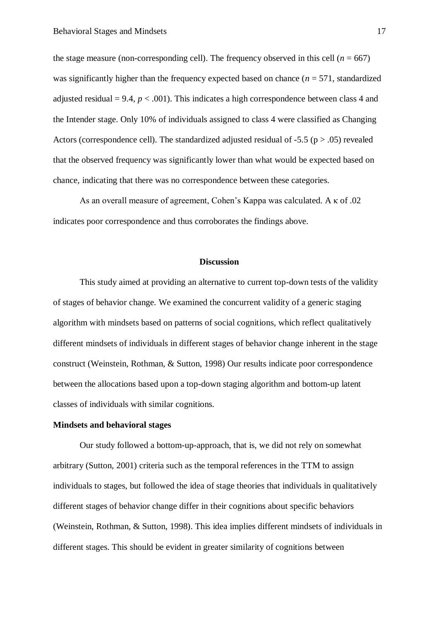the stage measure (non-corresponding cell). The frequency observed in this cell ( $n = 667$ ) was significantly higher than the frequency expected based on chance ( $n = 571$ , standardized adjusted residual  $= 9.4$ ,  $p < .001$ ). This indicates a high correspondence between class 4 and the Intender stage. Only 10% of individuals assigned to class 4 were classified as Changing Actors (correspondence cell). The standardized adjusted residual of  $-5.5$  ( $p > .05$ ) revealed that the observed frequency was significantly lower than what would be expected based on chance, indicating that there was no correspondence between these categories.

As an overall measure of agreement, Cohen's Kappa was calculated. A κ of .02 indicates poor correspondence and thus corroborates the findings above.

### **Discussion**

This study aimed at providing an alternative to current top-down tests of the validity of stages of behavior change. We examined the concurrent validity of a generic staging algorithm with mindsets based on patterns of social cognitions, which reflect qualitatively different mindsets of individuals in different stages of behavior change inherent in the stage construct (Weinstein, Rothman, & Sutton, 1998) Our results indicate poor correspondence between the allocations based upon a top-down staging algorithm and bottom-up latent classes of individuals with similar cognitions.

# **Mindsets and behavioral stages**

Our study followed a bottom-up-approach, that is, we did not rely on somewhat arbitrary (Sutton, 2001) criteria such as the temporal references in the TTM to assign individuals to stages, but followed the idea of stage theories that individuals in qualitatively different stages of behavior change differ in their cognitions about specific behaviors (Weinstein, Rothman, & Sutton, 1998). This idea implies different mindsets of individuals in different stages. This should be evident in greater similarity of cognitions between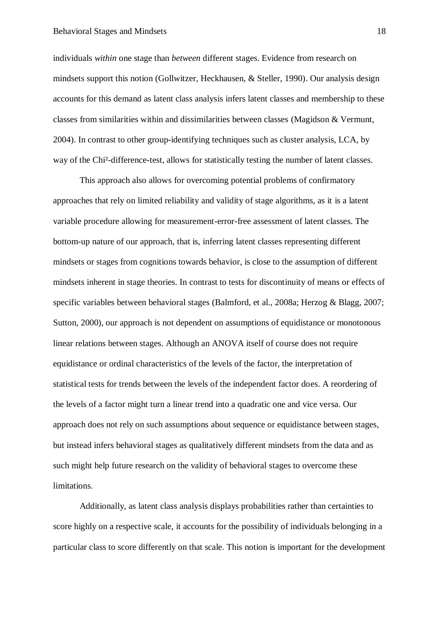individuals *within* one stage than *between* different stages. Evidence from research on mindsets support this notion (Gollwitzer, Heckhausen, & Steller, 1990). Our analysis design accounts for this demand as latent class analysis infers latent classes and membership to these classes from similarities within and dissimilarities between classes (Magidson & Vermunt, 2004). In contrast to other group-identifying techniques such as cluster analysis, LCA, by way of the Chi²-difference-test, allows for statistically testing the number of latent classes.

This approach also allows for overcoming potential problems of confirmatory approaches that rely on limited reliability and validity of stage algorithms, as it is a latent variable procedure allowing for measurement-error-free assessment of latent classes. The bottom-up nature of our approach, that is, inferring latent classes representing different mindsets or stages from cognitions towards behavior, is close to the assumption of different mindsets inherent in stage theories. In contrast to tests for discontinuity of means or effects of specific variables between behavioral stages (Balmford, et al., 2008a; Herzog & Blagg, 2007; Sutton, 2000), our approach is not dependent on assumptions of equidistance or monotonous linear relations between stages. Although an ANOVA itself of course does not require equidistance or ordinal characteristics of the levels of the factor, the interpretation of statistical tests for trends between the levels of the independent factor does. A reordering of the levels of a factor might turn a linear trend into a quadratic one and vice versa. Our approach does not rely on such assumptions about sequence or equidistance between stages, but instead infers behavioral stages as qualitatively different mindsets from the data and as such might help future research on the validity of behavioral stages to overcome these limitations.

Additionally, as latent class analysis displays probabilities rather than certainties to score highly on a respective scale, it accounts for the possibility of individuals belonging in a particular class to score differently on that scale. This notion is important for the development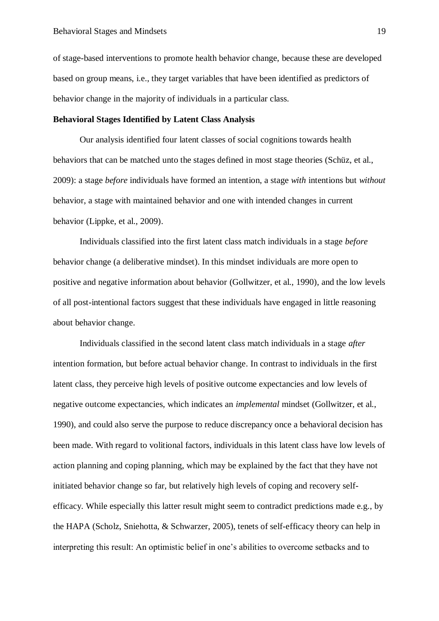of stage-based interventions to promote health behavior change, because these are developed based on group means, i.e., they target variables that have been identified as predictors of behavior change in the majority of individuals in a particular class.

# **Behavioral Stages Identified by Latent Class Analysis**

Our analysis identified four latent classes of social cognitions towards health behaviors that can be matched unto the stages defined in most stage theories (Schüz, et al., 2009): a stage *before* individuals have formed an intention, a stage *with* intentions but *without* behavior, a stage with maintained behavior and one with intended changes in current behavior (Lippke, et al., 2009).

Individuals classified into the first latent class match individuals in a stage *before* behavior change (a deliberative mindset). In this mindset individuals are more open to positive and negative information about behavior (Gollwitzer, et al., 1990), and the low levels of all post-intentional factors suggest that these individuals have engaged in little reasoning about behavior change.

Individuals classified in the second latent class match individuals in a stage *after* intention formation, but before actual behavior change. In contrast to individuals in the first latent class, they perceive high levels of positive outcome expectancies and low levels of negative outcome expectancies, which indicates an *implemental* mindset (Gollwitzer, et al., 1990), and could also serve the purpose to reduce discrepancy once a behavioral decision has been made. With regard to volitional factors, individuals in this latent class have low levels of action planning and coping planning, which may be explained by the fact that they have not initiated behavior change so far, but relatively high levels of coping and recovery selfefficacy. While especially this latter result might seem to contradict predictions made e.g., by the HAPA (Scholz, Sniehotta, & Schwarzer, 2005), tenets of self-efficacy theory can help in interpreting this result: An optimistic belief in one's abilities to overcome setbacks and to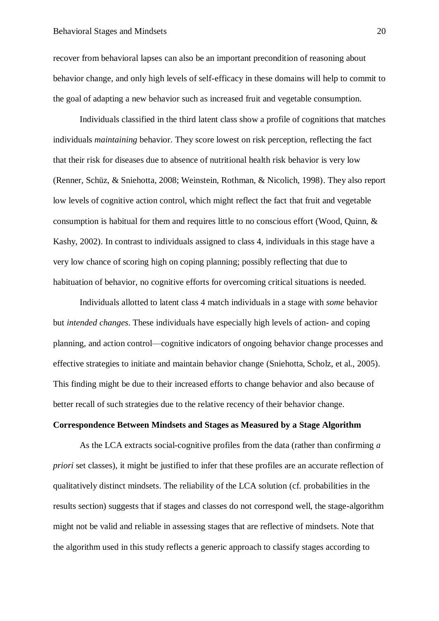recover from behavioral lapses can also be an important precondition of reasoning about behavior change, and only high levels of self-efficacy in these domains will help to commit to the goal of adapting a new behavior such as increased fruit and vegetable consumption.

Individuals classified in the third latent class show a profile of cognitions that matches individuals *maintaining* behavior. They score lowest on risk perception, reflecting the fact that their risk for diseases due to absence of nutritional health risk behavior is very low (Renner, Schüz, & Sniehotta, 2008; Weinstein, Rothman, & Nicolich, 1998). They also report low levels of cognitive action control, which might reflect the fact that fruit and vegetable consumption is habitual for them and requires little to no conscious effort (Wood, Quinn, & Kashy, 2002). In contrast to individuals assigned to class 4, individuals in this stage have a very low chance of scoring high on coping planning; possibly reflecting that due to habituation of behavior, no cognitive efforts for overcoming critical situations is needed.

Individuals allotted to latent class 4 match individuals in a stage with *some* behavior but *intended changes*. These individuals have especially high levels of action- and coping planning, and action control—cognitive indicators of ongoing behavior change processes and effective strategies to initiate and maintain behavior change (Sniehotta, Scholz, et al., 2005). This finding might be due to their increased efforts to change behavior and also because of better recall of such strategies due to the relative recency of their behavior change.

# **Correspondence Between Mindsets and Stages as Measured by a Stage Algorithm**

As the LCA extracts social-cognitive profiles from the data (rather than confirming *a priori* set classes), it might be justified to infer that these profiles are an accurate reflection of qualitatively distinct mindsets. The reliability of the LCA solution (cf. probabilities in the results section) suggests that if stages and classes do not correspond well, the stage-algorithm might not be valid and reliable in assessing stages that are reflective of mindsets. Note that the algorithm used in this study reflects a generic approach to classify stages according to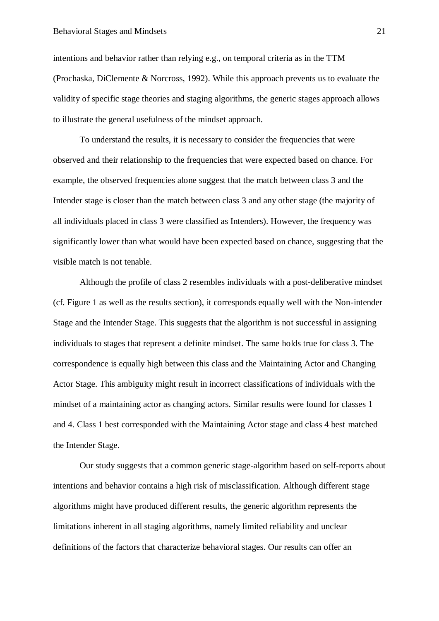intentions and behavior rather than relying e.g., on temporal criteria as in the TTM (Prochaska, DiClemente & Norcross, 1992). While this approach prevents us to evaluate the validity of specific stage theories and staging algorithms, the generic stages approach allows to illustrate the general usefulness of the mindset approach.

To understand the results, it is necessary to consider the frequencies that were observed and their relationship to the frequencies that were expected based on chance. For example, the observed frequencies alone suggest that the match between class 3 and the Intender stage is closer than the match between class 3 and any other stage (the majority of all individuals placed in class 3 were classified as Intenders). However, the frequency was significantly lower than what would have been expected based on chance, suggesting that the visible match is not tenable.

Although the profile of class 2 resembles individuals with a post-deliberative mindset (cf. Figure 1 as well as the results section), it corresponds equally well with the Non-intender Stage and the Intender Stage. This suggests that the algorithm is not successful in assigning individuals to stages that represent a definite mindset. The same holds true for class 3. The correspondence is equally high between this class and the Maintaining Actor and Changing Actor Stage. This ambiguity might result in incorrect classifications of individuals with the mindset of a maintaining actor as changing actors. Similar results were found for classes 1 and 4. Class 1 best corresponded with the Maintaining Actor stage and class 4 best matched the Intender Stage.

Our study suggests that a common generic stage-algorithm based on self-reports about intentions and behavior contains a high risk of misclassification. Although different stage algorithms might have produced different results, the generic algorithm represents the limitations inherent in all staging algorithms, namely limited reliability and unclear definitions of the factors that characterize behavioral stages. Our results can offer an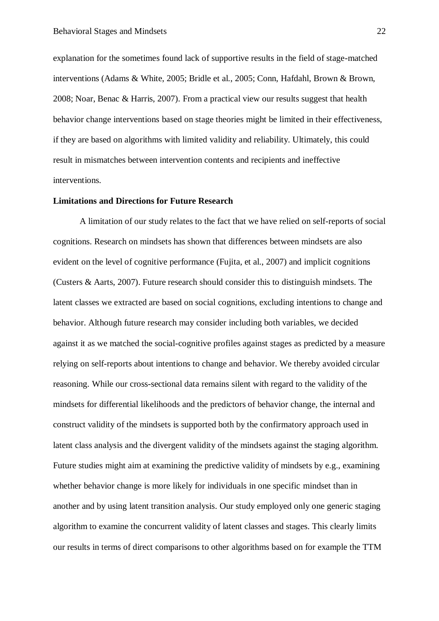explanation for the sometimes found lack of supportive results in the field of stage-matched interventions (Adams & White, 2005; Bridle et al., 2005; Conn, Hafdahl, Brown & Brown, 2008; Noar, Benac & Harris, 2007). From a practical view our results suggest that health behavior change interventions based on stage theories might be limited in their effectiveness, if they are based on algorithms with limited validity and reliability. Ultimately, this could result in mismatches between intervention contents and recipients and ineffective interventions.

### **Limitations and Directions for Future Research**

A limitation of our study relates to the fact that we have relied on self-reports of social cognitions. Research on mindsets has shown that differences between mindsets are also evident on the level of cognitive performance (Fujita, et al., 2007) and implicit cognitions (Custers & Aarts, 2007). Future research should consider this to distinguish mindsets. The latent classes we extracted are based on social cognitions, excluding intentions to change and behavior. Although future research may consider including both variables, we decided against it as we matched the social-cognitive profiles against stages as predicted by a measure relying on self-reports about intentions to change and behavior. We thereby avoided circular reasoning. While our cross-sectional data remains silent with regard to the validity of the mindsets for differential likelihoods and the predictors of behavior change, the internal and construct validity of the mindsets is supported both by the confirmatory approach used in latent class analysis and the divergent validity of the mindsets against the staging algorithm. Future studies might aim at examining the predictive validity of mindsets by e.g., examining whether behavior change is more likely for individuals in one specific mindset than in another and by using latent transition analysis. Our study employed only one generic staging algorithm to examine the concurrent validity of latent classes and stages. This clearly limits our results in terms of direct comparisons to other algorithms based on for example the TTM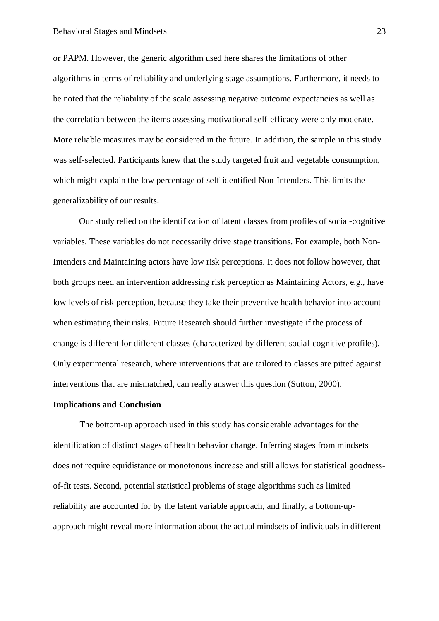or PAPM. However, the generic algorithm used here shares the limitations of other algorithms in terms of reliability and underlying stage assumptions. Furthermore, it needs to be noted that the reliability of the scale assessing negative outcome expectancies as well as the correlation between the items assessing motivational self-efficacy were only moderate. More reliable measures may be considered in the future. In addition, the sample in this study was self-selected. Participants knew that the study targeted fruit and vegetable consumption, which might explain the low percentage of self-identified Non-Intenders. This limits the generalizability of our results.

Our study relied on the identification of latent classes from profiles of social-cognitive variables. These variables do not necessarily drive stage transitions. For example, both Non-Intenders and Maintaining actors have low risk perceptions. It does not follow however, that both groups need an intervention addressing risk perception as Maintaining Actors, e.g., have low levels of risk perception, because they take their preventive health behavior into account when estimating their risks. Future Research should further investigate if the process of change is different for different classes (characterized by different social-cognitive profiles). Only experimental research, where interventions that are tailored to classes are pitted against interventions that are mismatched, can really answer this question (Sutton, 2000).

### **Implications and Conclusion**

The bottom-up approach used in this study has considerable advantages for the identification of distinct stages of health behavior change. Inferring stages from mindsets does not require equidistance or monotonous increase and still allows for statistical goodnessof-fit tests. Second, potential statistical problems of stage algorithms such as limited reliability are accounted for by the latent variable approach, and finally, a bottom-upapproach might reveal more information about the actual mindsets of individuals in different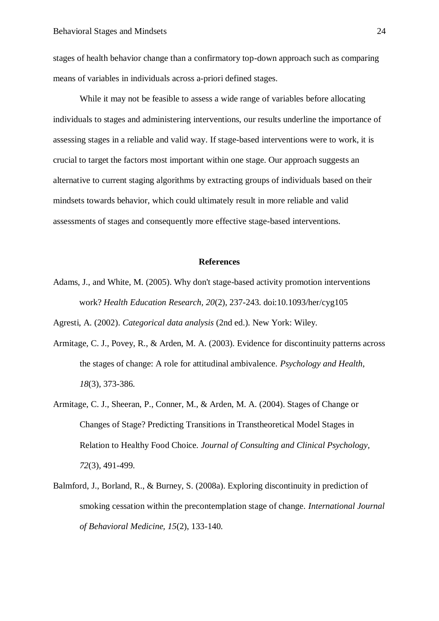stages of health behavior change than a confirmatory top-down approach such as comparing means of variables in individuals across a-priori defined stages.

While it may not be feasible to assess a wide range of variables before allocating individuals to stages and administering interventions, our results underline the importance of assessing stages in a reliable and valid way. If stage-based interventions were to work, it is crucial to target the factors most important within one stage. Our approach suggests an alternative to current staging algorithms by extracting groups of individuals based on their mindsets towards behavior, which could ultimately result in more reliable and valid assessments of stages and consequently more effective stage-based interventions.

# **References**

Adams, J., and White, M. (2005). Why don't stage-based activity promotion interventions work? *Health Education Research, 20*(2), 237-243. doi:10.1093/her/cyg105

Agresti, A. (2002). *Categorical data analysis* (2nd ed.). New York: Wiley.

- Armitage, C. J., Povey, R., & Arden, M. A. (2003). Evidence for discontinuity patterns across the stages of change: A role for attitudinal ambivalence. *Psychology and Health, 18*(3), 373-386.
- Armitage, C. J., Sheeran, P., Conner, M., & Arden, M. A. (2004). Stages of Change or Changes of Stage? Predicting Transitions in Transtheoretical Model Stages in Relation to Healthy Food Choice. *Journal of Consulting and Clinical Psychology, 72*(3), 491-499.
- Balmford, J., Borland, R., & Burney, S. (2008a). Exploring discontinuity in prediction of smoking cessation within the precontemplation stage of change. *International Journal of Behavioral Medicine, 15*(2), 133-140.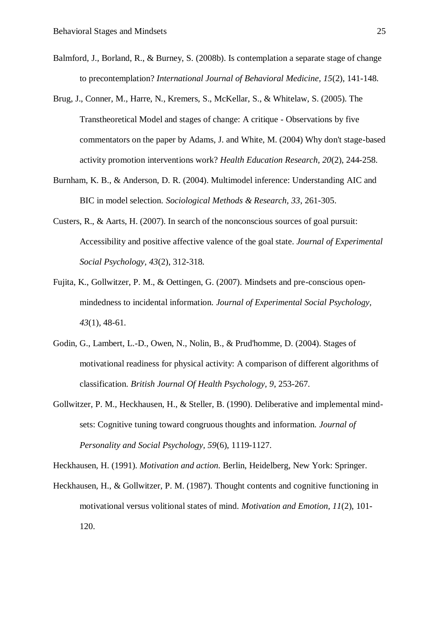- Balmford, J., Borland, R., & Burney, S. (2008b). Is contemplation a separate stage of change to precontemplation? *International Journal of Behavioral Medicine, 15*(2), 141-148.
- Brug, J., Conner, M., Harre, N., Kremers, S., McKellar, S., & Whitelaw, S. (2005). The Transtheoretical Model and stages of change: A critique - Observations by five commentators on the paper by Adams, J. and White, M. (2004) Why don't stage-based activity promotion interventions work? *Health Education Research, 20*(2), 244-258.
- Burnham, K. B., & Anderson, D. R. (2004). Multimodel inference: Understanding AIC and BIC in model selection. *Sociological Methods & Research, 33*, 261-305.
- Custers, R., & Aarts, H. (2007). In search of the nonconscious sources of goal pursuit: Accessibility and positive affective valence of the goal state. *Journal of Experimental Social Psychology, 43*(2), 312-318.
- Fujita, K., Gollwitzer, P. M., & Oettingen, G. (2007). Mindsets and pre-conscious openmindedness to incidental information. *Journal of Experimental Social Psychology, 43*(1), 48-61.
- Godin, G., Lambert, L.-D., Owen, N., Nolin, B., & Prud'homme, D. (2004). Stages of motivational readiness for physical activity: A comparison of different algorithms of classification. *British Journal Of Health Psychology, 9*, 253-267.
- Gollwitzer, P. M., Heckhausen, H., & Steller, B. (1990). Deliberative and implemental mindsets: Cognitive tuning toward congruous thoughts and information. *Journal of Personality and Social Psychology, 59*(6), 1119-1127.

Heckhausen, H. (1991). *Motivation and action*. Berlin, Heidelberg, New York: Springer.

Heckhausen, H., & Gollwitzer, P. M. (1987). Thought contents and cognitive functioning in motivational versus volitional states of mind. *Motivation and Emotion, 11*(2), 101- 120.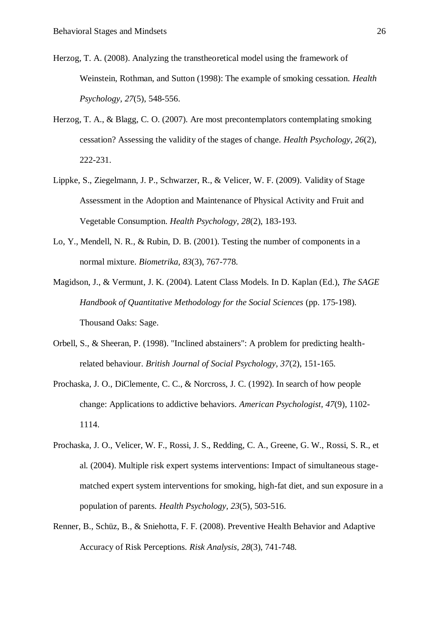- Herzog, T. A. (2008). Analyzing the transtheoretical model using the framework of Weinstein, Rothman, and Sutton (1998): The example of smoking cessation. *Health Psychology, 27*(5), 548-556.
- Herzog, T. A., & Blagg, C. O. (2007). Are most precontemplators contemplating smoking cessation? Assessing the validity of the stages of change. *Health Psychology, 26*(2), 222-231.
- Lippke, S., Ziegelmann, J. P., Schwarzer, R., & Velicer, W. F. (2009). Validity of Stage Assessment in the Adoption and Maintenance of Physical Activity and Fruit and Vegetable Consumption. *Health Psychology, 28*(2), 183-193.
- Lo, Y., Mendell, N. R., & Rubin, D. B. (2001). Testing the number of components in a normal mixture. *Biometrika, 83*(3), 767-778.
- Magidson, J., & Vermunt, J. K. (2004). Latent Class Models. In D. Kaplan (Ed.), *The SAGE Handbook of Quantitative Methodology for the Social Sciences* (pp. 175-198). Thousand Oaks: Sage.
- Orbell, S., & Sheeran, P. (1998). "Inclined abstainers": A problem for predicting healthrelated behaviour. *British Journal of Social Psychology, 37*(2), 151-165.
- Prochaska, J. O., DiClemente, C. C., & Norcross, J. C. (1992). In search of how people change: Applications to addictive behaviors. *American Psychologist, 47*(9), 1102- 1114.
- Prochaska, J. O., Velicer, W. F., Rossi, J. S., Redding, C. A., Greene, G. W., Rossi, S. R., et al. (2004). Multiple risk expert systems interventions: Impact of simultaneous stagematched expert system interventions for smoking, high-fat diet, and sun exposure in a population of parents. *Health Psychology, 23*(5), 503-516.
- Renner, B., Schüz, B., & Sniehotta, F. F. (2008). Preventive Health Behavior and Adaptive Accuracy of Risk Perceptions. *Risk Analysis, 28*(3), 741-748.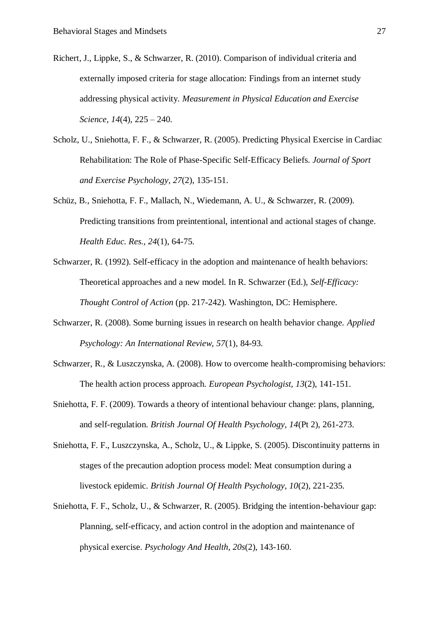- Richert, J., Lippke, S., & Schwarzer, R. (2010). Comparison of individual criteria and externally imposed criteria for stage allocation: Findings from an internet study addressing physical activity. *Measurement in Physical Education and Exercise Science, 14*(4), 225 – 240.
- Scholz, U., Sniehotta, F. F., & Schwarzer, R. (2005). Predicting Physical Exercise in Cardiac Rehabilitation: The Role of Phase-Specific Self-Efficacy Beliefs. *Journal of Sport and Exercise Psychology, 27*(2), 135-151.
- Schüz, B., Sniehotta, F. F., Mallach, N., Wiedemann, A. U., & Schwarzer, R. (2009). Predicting transitions from preintentional, intentional and actional stages of change. *Health Educ. Res., 24*(1), 64-75.
- Schwarzer, R. (1992). Self-efficacy in the adoption and maintenance of health behaviors: Theoretical approaches and a new model. In R. Schwarzer (Ed.), *Self-Efficacy: Thought Control of Action* (pp. 217-242). Washington, DC: Hemisphere.
- Schwarzer, R. (2008). Some burning issues in research on health behavior change. *Applied Psychology: An International Review, 57*(1), 84-93.
- Schwarzer, R., & Luszczynska, A. (2008). How to overcome health-compromising behaviors: The health action process approach. *European Psychologist, 13*(2), 141-151.
- Sniehotta, F. F. (2009). Towards a theory of intentional behaviour change: plans, planning, and self-regulation. *British Journal Of Health Psychology, 14*(Pt 2), 261-273.
- Sniehotta, F. F., Luszczynska, A., Scholz, U., & Lippke, S. (2005). Discontinuity patterns in stages of the precaution adoption process model: Meat consumption during a livestock epidemic. *British Journal Of Health Psychology, 10*(2), 221-235.
- Sniehotta, F. F., Scholz, U., & Schwarzer, R. (2005). Bridging the intention-behaviour gap: Planning, self-efficacy, and action control in the adoption and maintenance of physical exercise. *Psychology And Health, 20s*(2), 143-160.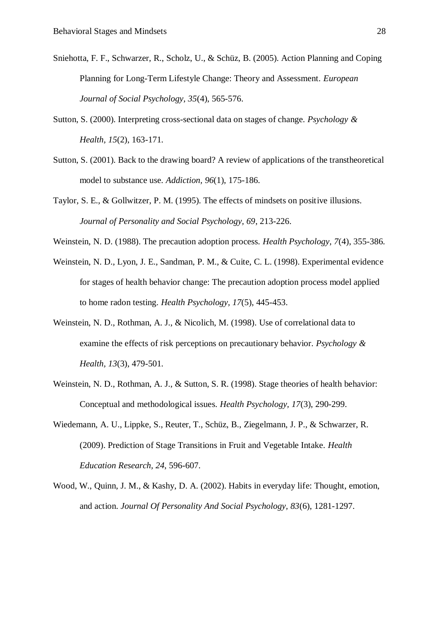- Sniehotta, F. F., Schwarzer, R., Scholz, U., & Schüz, B. (2005). Action Planning and Coping Planning for Long-Term Lifestyle Change: Theory and Assessment. *European Journal of Social Psychology, 35*(4), 565-576.
- Sutton, S. (2000). Interpreting cross-sectional data on stages of change. *Psychology & Health, 15*(2), 163-171.
- Sutton, S. (2001). Back to the drawing board? A review of applications of the transtheoretical model to substance use. *Addiction, 96*(1), 175-186.
- Taylor, S. E., & Gollwitzer, P. M. (1995). The effects of mindsets on positive illusions. *Journal of Personality and Social Psychology, 69*, 213-226.
- Weinstein, N. D. (1988). The precaution adoption process. *Health Psychology, 7*(4), 355-386.
- Weinstein, N. D., Lyon, J. E., Sandman, P. M., & Cuite, C. L. (1998). Experimental evidence for stages of health behavior change: The precaution adoption process model applied to home radon testing. *Health Psychology, 17*(5), 445-453.
- Weinstein, N. D., Rothman, A. J., & Nicolich, M. (1998). Use of correlational data to examine the effects of risk perceptions on precautionary behavior. *Psychology & Health, 13*(3), 479-501.
- Weinstein, N. D., Rothman, A. J., & Sutton, S. R. (1998). Stage theories of health behavior: Conceptual and methodological issues. *Health Psychology, 17*(3), 290-299.
- Wiedemann, A. U., Lippke, S., Reuter, T., Schüz, B., Ziegelmann, J. P., & Schwarzer, R. (2009). Prediction of Stage Transitions in Fruit and Vegetable Intake. *Health Education Research, 24*, 596-607.
- Wood, W., Quinn, J. M., & Kashy, D. A. (2002). Habits in everyday life: Thought, emotion, and action. *Journal Of Personality And Social Psychology, 83*(6), 1281-1297.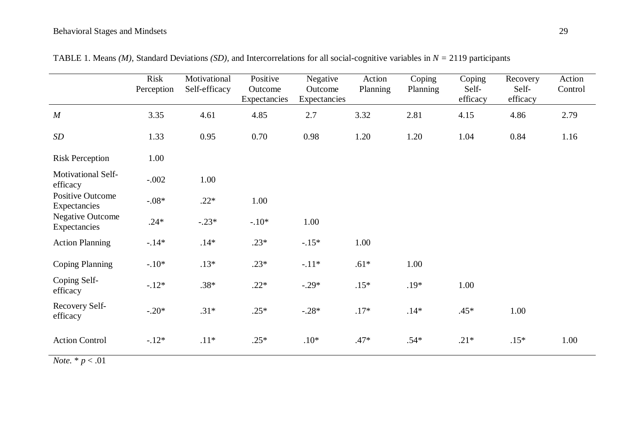|                                         | <b>Risk</b><br>Perception | Motivational<br>Self-efficacy | Positive<br>Outcome<br>Expectancies | Negative<br>Outcome<br>Expectancies | Action<br>Planning | Coping<br>Planning | Coping<br>Self-<br>efficacy | Recovery<br>Self-<br>efficacy | Action<br>Control |
|-----------------------------------------|---------------------------|-------------------------------|-------------------------------------|-------------------------------------|--------------------|--------------------|-----------------------------|-------------------------------|-------------------|
| M                                       | 3.35                      | 4.61                          | 4.85                                | 2.7                                 | 3.32               | 2.81               | 4.15                        | 4.86                          | 2.79              |
| SD                                      | 1.33                      | 0.95                          | 0.70                                | 0.98                                | 1.20               | 1.20               | 1.04                        | 0.84                          | 1.16              |
| <b>Risk Perception</b>                  | 1.00                      |                               |                                     |                                     |                    |                    |                             |                               |                   |
| Motivational Self-<br>efficacy          | $-.002$                   | 1.00                          |                                     |                                     |                    |                    |                             |                               |                   |
| <b>Positive Outcome</b><br>Expectancies | $-.08*$                   | $.22*$                        | 1.00                                |                                     |                    |                    |                             |                               |                   |
| <b>Negative Outcome</b><br>Expectancies | $.24*$                    | $-.23*$                       | $-.10*$                             | 1.00                                |                    |                    |                             |                               |                   |
| <b>Action Planning</b>                  | $-14*$                    | $.14*$                        | $.23*$                              | $-.15*$                             | 1.00               |                    |                             |                               |                   |
| <b>Coping Planning</b>                  | $-.10*$                   | $.13*$                        | $.23*$                              | $-.11*$                             | $.61*$             | 1.00               |                             |                               |                   |
| Coping Self-<br>efficacy                | $-.12*$                   | $.38*$                        | $.22*$                              | $-.29*$                             | $.15*$             | $.19*$             | 1.00                        |                               |                   |
| Recovery Self-<br>efficacy              | $-.20*$                   | $.31*$                        | $.25*$                              | $-.28*$                             | $.17*$             | $.14*$             | $.45*$                      | 1.00                          |                   |
| <b>Action Control</b>                   | $-12*$                    | $.11*$                        | $.25*$                              | $.10*$                              | $.47*$             | $.54*$             | $.21*$                      | $.15*$                        | 1.00              |
| $N_{\text{obs}}$ * n $\geq 01$          |                           |                               |                                     |                                     |                    |                    |                             |                               |                   |

TABLE 1. Means *(M),* Standard Deviations *(SD),* and Intercorrelations for all social-cognitive variables in *N =* 2119 participants

*Note.*  $* p < .01$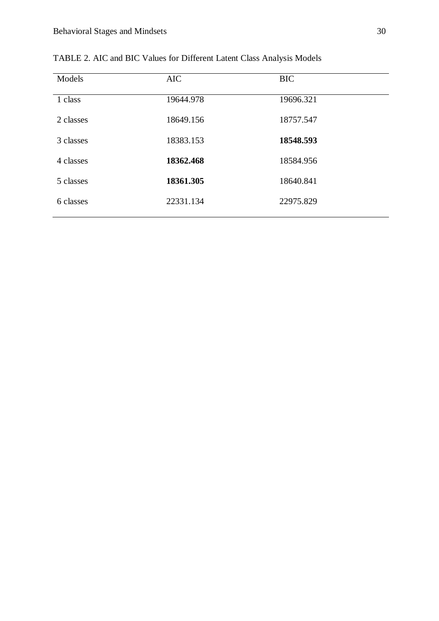| Models    | <b>AIC</b> | <b>BIC</b> |
|-----------|------------|------------|
| 1 class   | 19644.978  | 19696.321  |
| 2 classes | 18649.156  | 18757.547  |
| 3 classes | 18383.153  | 18548.593  |
| 4 classes | 18362.468  | 18584.956  |
| 5 classes | 18361.305  | 18640.841  |
| 6 classes | 22331.134  | 22975.829  |

TABLE 2. AIC and BIC Values for Different Latent Class Analysis Models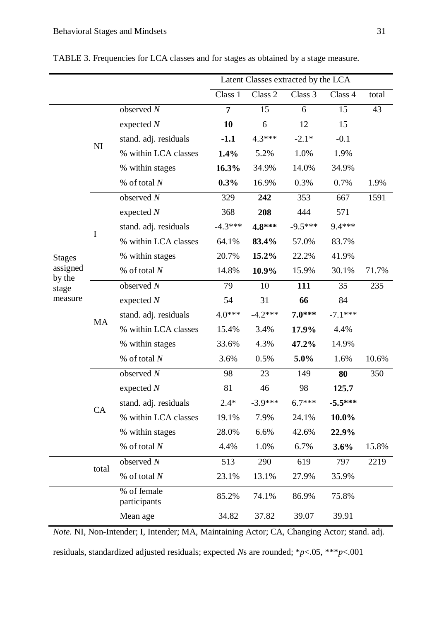total

% of female

|                    |           |                       | Latent Classes extracted by the LCA |           |           |           |       |
|--------------------|-----------|-----------------------|-------------------------------------|-----------|-----------|-----------|-------|
|                    |           |                       | Class 1                             | Class 2   | Class 3   | Class 4   | total |
|                    |           | observed $N$          | $\overline{7}$                      | 15        | 6         | 15        | 43    |
|                    | NI        | expected $N$          | 10                                  | 6         | 12        | 15        |       |
|                    |           | stand. adj. residuals | $-1.1$                              | $4.3***$  | $-2.1*$   | $-0.1$    |       |
|                    |           | % within LCA classes  | 1.4%                                | 5.2%      | 1.0%      | 1.9%      |       |
|                    |           | % within stages       | 16.3%                               | 34.9%     | 14.0%     | 34.9%     |       |
|                    |           | % of total $N$        | 0.3%                                | 16.9%     | 0.3%      | 0.7%      | 1.9%  |
|                    |           | observed $N$          | 329                                 | 242       | 353       | 667       | 1591  |
|                    |           | expected $N$          | 368                                 | 208       | 444       | 571       |       |
|                    |           | stand. adj. residuals | $-4.3***$                           | 4.8***    | $-9.5***$ | 9.4 ***   |       |
| <b>Stages</b>      | $\bf I$   | % within LCA classes  | 64.1%                               | 83.4%     | 57.0%     | 83.7%     |       |
|                    |           | % within stages       | 20.7%                               | 15.2%     | 22.2%     | 41.9%     |       |
| assigned<br>by the |           | % of total $N$        | 14.8%                               | 10.9%     | 15.9%     | 30.1%     | 71.7% |
| stage              |           | observed $N$          | 79                                  | 10        | 111       | 35        | 235   |
| measure            |           | expected $N$          | 54                                  | 31        | 66        | 84        |       |
|                    | <b>MA</b> | stand. adj. residuals | $4.0***$                            | $-4.2***$ | $7.0***$  | $-7.1***$ |       |
|                    |           | % within LCA classes  | 15.4%                               | 3.4%      | 17.9%     | 4.4%      |       |
|                    |           | % within stages       | 33.6%                               | 4.3%      | 47.2%     | 14.9%     |       |
|                    |           | % of total $N$        | 3.6%                                | 0.5%      | 5.0%      | 1.6%      | 10.6% |
|                    |           | observed $N$          | 98                                  | 23        | 149       | 80        | 350   |
|                    |           | expected $N$          | 81                                  | 46        | 98        | 125.7     |       |
|                    |           | stand. adj. residuals | $2.4*$                              | $-3.9***$ | $6.7***$  | $-5.5***$ |       |
|                    | CA        | % within LCA classes  | 19.1%                               | 7.9%      | 24.1%     | 10.0%     |       |
|                    |           | % within stages       | 28.0%                               | 6.6%      | 42.6%     | 22.9%     |       |

TABLE 3. Frequencies for LCA classes and for stages as obtained by a stage measure.

| <i>Note.</i> NI, Non-Intender; I, Intender; MA, Maintaining Actor; CA, Changing Actor; stand. adj. |
|----------------------------------------------------------------------------------------------------|
| residuals, standardized adjusted residuals; expected Ns are rounded; *p<.05, ***p<.001             |

% of total *N* 4.4% 1.0% 6.7% **3.6%** 15.8%

observed *N* 513 290 619 797 2219

% of total *N* 23.1% 13.1% 27.9% 35.9%

% of lemale<br>participants 85.2% 74.1% 86.9% 75.8%

Mean age 34.82 37.82 39.07 39.91